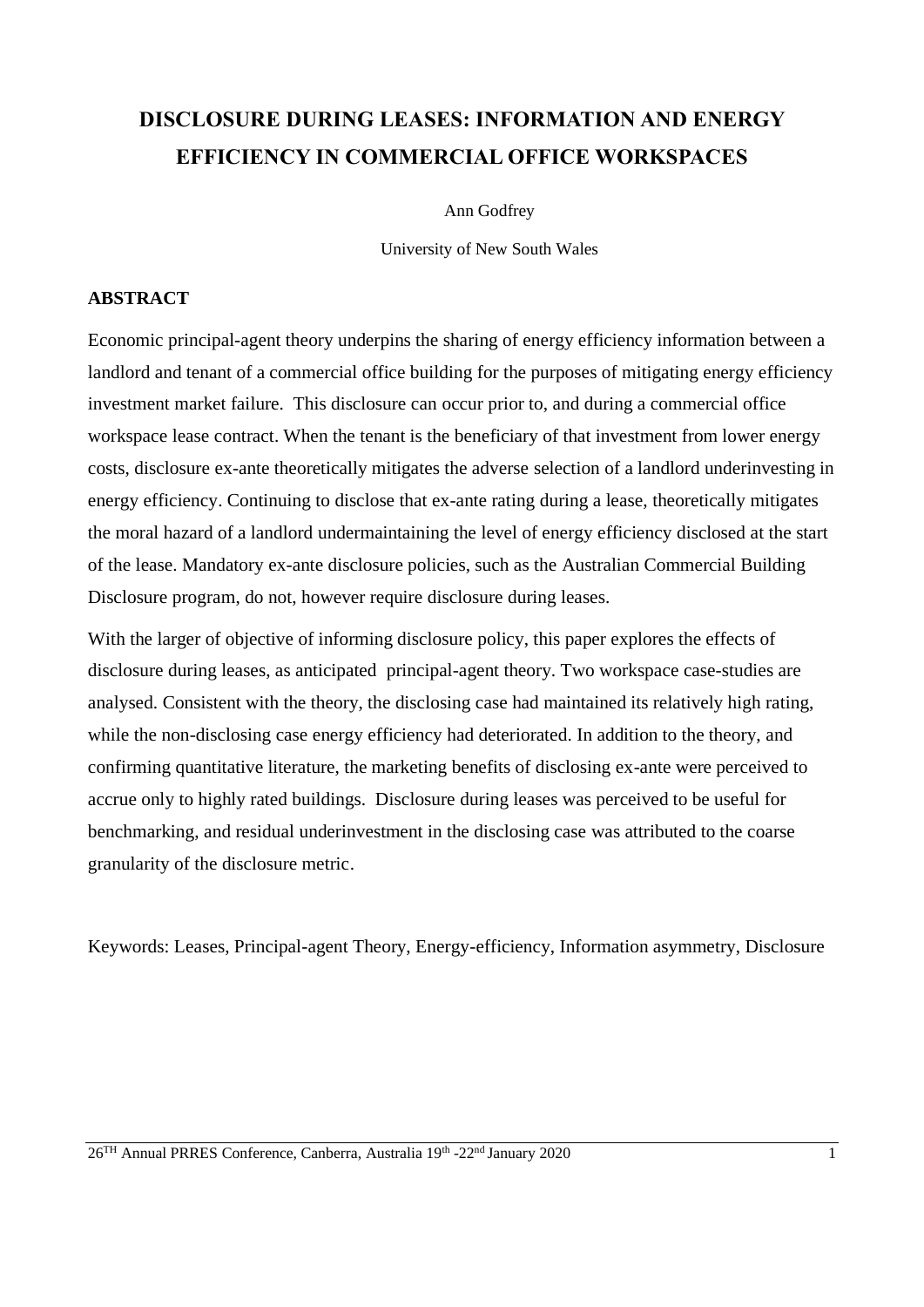# **DISCLOSURE DURING LEASES: INFORMATION AND ENERGY EFFICIENCY IN COMMERCIAL OFFICE WORKSPACES**

Ann Godfrey

University of New South Wales

#### **ABSTRACT**

Economic principal-agent theory underpins the sharing of energy efficiency information between a landlord and tenant of a commercial office building for the purposes of mitigating energy efficiency investment market failure. This disclosure can occur prior to, and during a commercial office workspace lease contract. When the tenant is the beneficiary of that investment from lower energy costs, disclosure ex-ante theoretically mitigates the adverse selection of a landlord underinvesting in energy efficiency. Continuing to disclose that ex-ante rating during a lease, theoretically mitigates the moral hazard of a landlord undermaintaining the level of energy efficiency disclosed at the start of the lease. Mandatory ex-ante disclosure policies, such as the Australian Commercial Building Disclosure program, do not, however require disclosure during leases.

With the larger of objective of informing disclosure policy, this paper explores the effects of disclosure during leases, as anticipated principal-agent theory. Two workspace case-studies are analysed. Consistent with the theory, the disclosing case had maintained its relatively high rating, while the non-disclosing case energy efficiency had deteriorated. In addition to the theory, and confirming quantitative literature, the marketing benefits of disclosing ex-ante were perceived to accrue only to highly rated buildings. Disclosure during leases was perceived to be useful for benchmarking, and residual underinvestment in the disclosing case was attributed to the coarse granularity of the disclosure metric.

Keywords: Leases, Principal-agent Theory, Energy-efficiency, Information asymmetry, Disclosure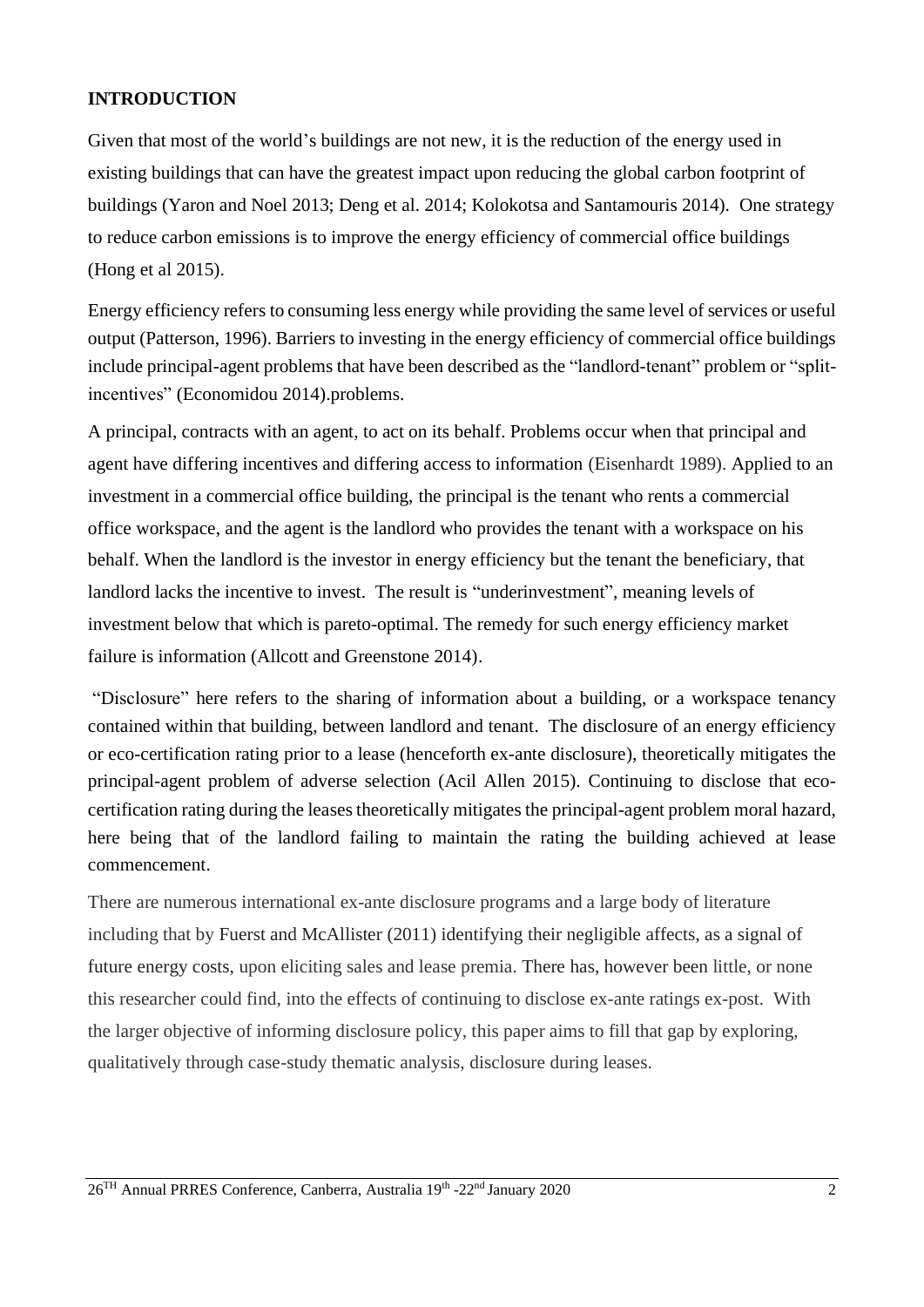### **INTRODUCTION**

Given that most of the world's buildings are not new, it is the reduction of the energy used in existing buildings that can have the greatest impact upon reducing the global carbon footprint of buildings (Yaron and Noel 2013; Deng et al. 2014; Kolokotsa and Santamouris 2014). One strategy to reduce carbon emissions is to improve the energy efficiency of commercial office buildings (Hong et al 2015).

Energy efficiency refers to consuming less energy while providing the same level of services or useful output (Patterson, 1996). Barriers to investing in the energy efficiency of commercial office buildings include principal-agent problems that have been described as the "landlord-tenant" problem or "splitincentives" (Economidou 2014).problems.

A principal, contracts with an agent, to act on its behalf. Problems occur when that principal and agent have differing incentives and differing access to information (Eisenhardt 1989). Applied to an investment in a commercial office building, the principal is the tenant who rents a commercial office workspace, and the agent is the landlord who provides the tenant with a workspace on his behalf. When the landlord is the investor in energy efficiency but the tenant the beneficiary, that landlord lacks the incentive to invest. The result is "underinvestment", meaning levels of investment below that which is pareto-optimal. The remedy for such energy efficiency market failure is information (Allcott and Greenstone 2014).

"Disclosure" here refers to the sharing of information about a building, or a workspace tenancy contained within that building, between landlord and tenant. The disclosure of an energy efficiency or eco-certification rating prior to a lease (henceforth ex-ante disclosure), theoretically mitigates the principal-agent problem of adverse selection (Acil Allen 2015). Continuing to disclose that ecocertification rating during the leases theoretically mitigates the principal-agent problem moral hazard, here being that of the landlord failing to maintain the rating the building achieved at lease commencement.

There are numerous international ex-ante disclosure programs and a large body of literature including that by Fuerst and McAllister (2011) identifying their negligible affects, as a signal of future energy costs, upon eliciting sales and lease premia. There has, however been little, or none this researcher could find, into the effects of continuing to disclose ex-ante ratings ex-post. With the larger objective of informing disclosure policy, this paper aims to fill that gap by exploring, qualitatively through case-study thematic analysis, disclosure during leases.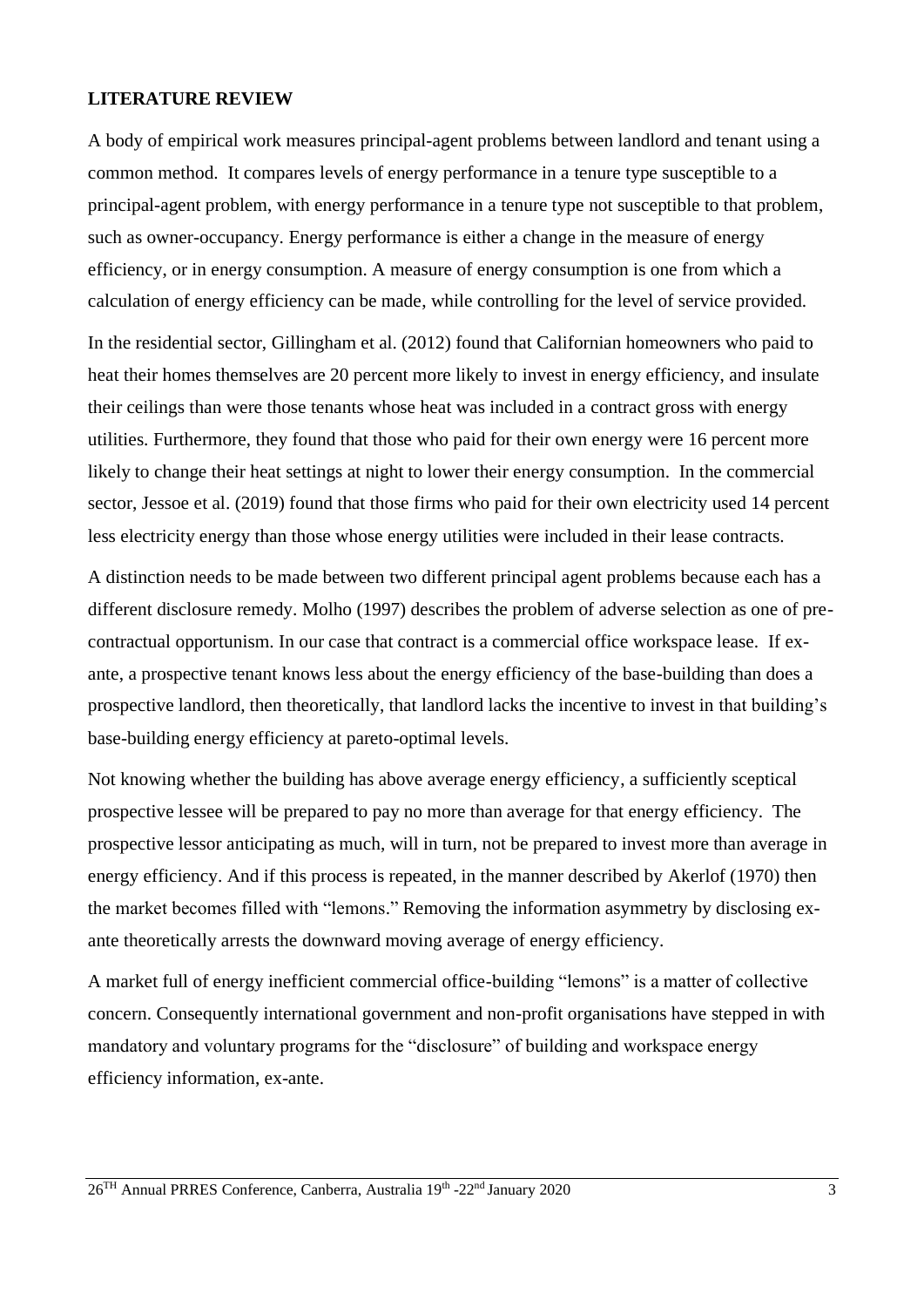#### **LITERATURE REVIEW**

A body of empirical work measures principal-agent problems between landlord and tenant using a common method. It compares levels of energy performance in a tenure type susceptible to a principal-agent problem, with energy performance in a tenure type not susceptible to that problem, such as owner-occupancy. Energy performance is either a change in the measure of energy efficiency, or in energy consumption. A measure of energy consumption is one from which a calculation of energy efficiency can be made, while controlling for the level of service provided.

In the residential sector, Gillingham et al. (2012) found that Californian homeowners who paid to heat their homes themselves are 20 percent more likely to invest in energy efficiency, and insulate their ceilings than were those tenants whose heat was included in a contract gross with energy utilities. Furthermore, they found that those who paid for their own energy were 16 percent more likely to change their heat settings at night to lower their energy consumption. In the commercial sector, Jessoe et al. (2019) found that those firms who paid for their own electricity used 14 percent less electricity energy than those whose energy utilities were included in their lease contracts.

A distinction needs to be made between two different principal agent problems because each has a different disclosure remedy. Molho (1997) describes the problem of adverse selection as one of precontractual opportunism. In our case that contract is a commercial office workspace lease. If exante, a prospective tenant knows less about the energy efficiency of the base-building than does a prospective landlord, then theoretically, that landlord lacks the incentive to invest in that building's base-building energy efficiency at pareto-optimal levels.

Not knowing whether the building has above average energy efficiency, a sufficiently sceptical prospective lessee will be prepared to pay no more than average for that energy efficiency. The prospective lessor anticipating as much, will in turn, not be prepared to invest more than average in energy efficiency. And if this process is repeated, in the manner described by Akerlof (1970) then the market becomes filled with "lemons." Removing the information asymmetry by disclosing exante theoretically arrests the downward moving average of energy efficiency.

A market full of energy inefficient commercial office-building "lemons" is a matter of collective concern. Consequently international government and non-profit organisations have stepped in with mandatory and voluntary programs for the "disclosure" of building and workspace energy efficiency information, ex-ante.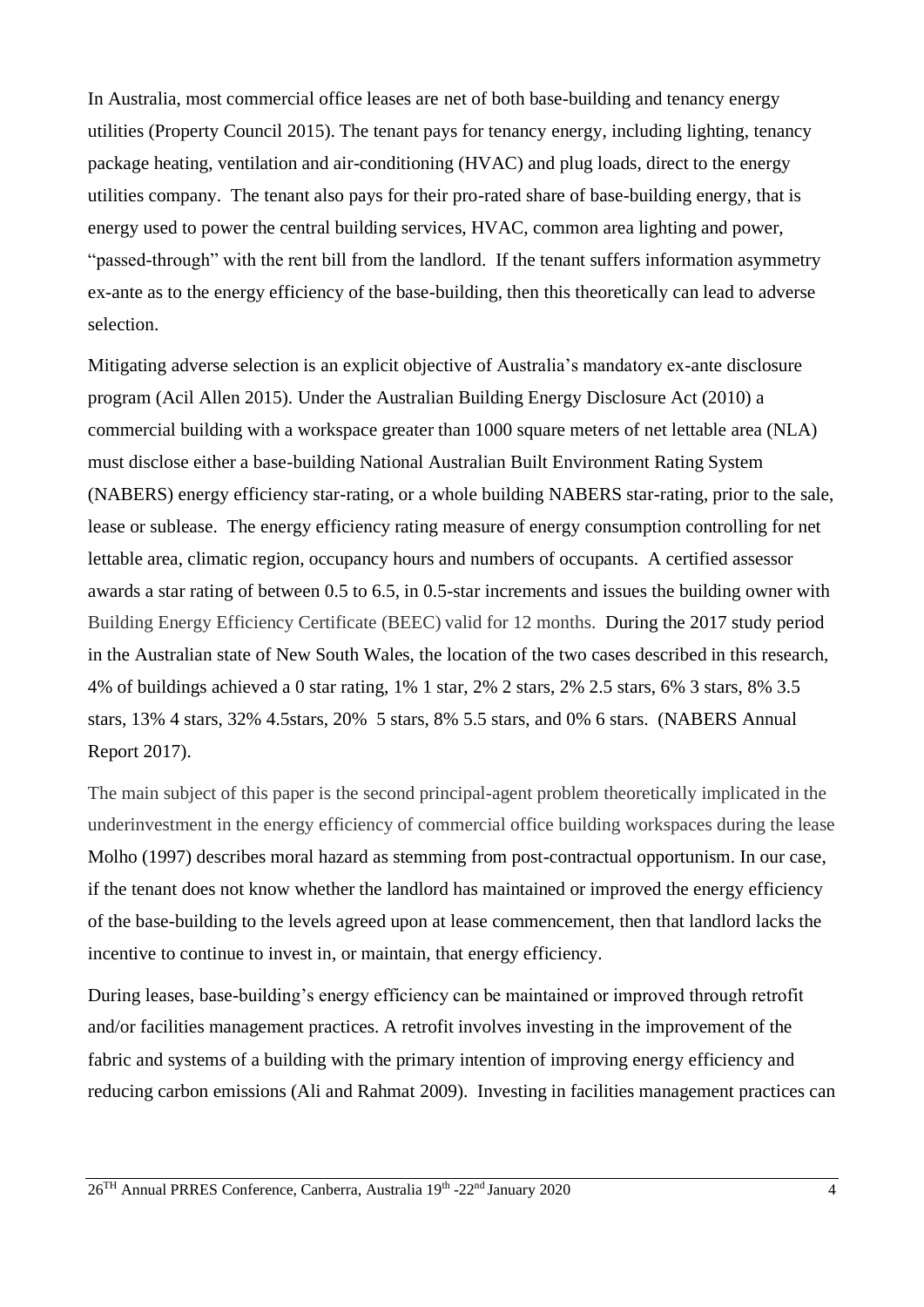In Australia, most commercial office leases are net of both base-building and tenancy energy utilities (Property Council 2015). The tenant pays for tenancy energy, including lighting, tenancy package heating, ventilation and air-conditioning (HVAC) and plug loads, direct to the energy utilities company. The tenant also pays for their pro-rated share of base-building energy, that is energy used to power the central building services, HVAC, common area lighting and power, "passed-through" with the rent bill from the landlord. If the tenant suffers information asymmetry ex-ante as to the energy efficiency of the base-building, then this theoretically can lead to adverse selection.

Mitigating adverse selection is an explicit objective of Australia's mandatory ex-ante disclosure program (Acil Allen 2015). Under the Australian Building Energy Disclosure Act (2010) a commercial building with a workspace greater than 1000 square meters of net lettable area (NLA) must disclose either a base-building National Australian Built Environment Rating System (NABERS) energy efficiency star-rating, or a whole building NABERS star-rating, prior to the sale, lease or sublease. The energy efficiency rating measure of energy consumption controlling for net lettable area, climatic region, occupancy hours and numbers of occupants. A certified assessor awards a star rating of between 0.5 to 6.5, in 0.5-star increments and issues the building owner with Building Energy Efficiency Certificate (BEEC) valid for 12 months. During the 2017 study period in the Australian state of New South Wales, the location of the two cases described in this research, 4% of buildings achieved a 0 star rating, 1% 1 star, 2% 2 stars, 2% 2.5 stars, 6% 3 stars, 8% 3.5 stars, 13% 4 stars, 32% 4.5stars, 20% 5 stars, 8% 5.5 stars, and 0% 6 stars. (NABERS Annual Report 2017).

The main subject of this paper is the second principal-agent problem theoretically implicated in the underinvestment in the energy efficiency of commercial office building workspaces during the lease Molho (1997) describes moral hazard as stemming from post-contractual opportunism. In our case, if the tenant does not know whether the landlord has maintained or improved the energy efficiency of the base-building to the levels agreed upon at lease commencement, then that landlord lacks the incentive to continue to invest in, or maintain, that energy efficiency.

During leases, base-building's energy efficiency can be maintained or improved through retrofit and/or facilities management practices. A retrofit involves investing in the improvement of the fabric and systems of a building with the primary intention of improving energy efficiency and reducing carbon emissions (Ali and Rahmat 2009). Investing in facilities management practices can

26<sup>TH</sup> Annual PRRES Conference, Canberra, Australia 19<sup>th</sup> -22<sup>nd</sup> January 2020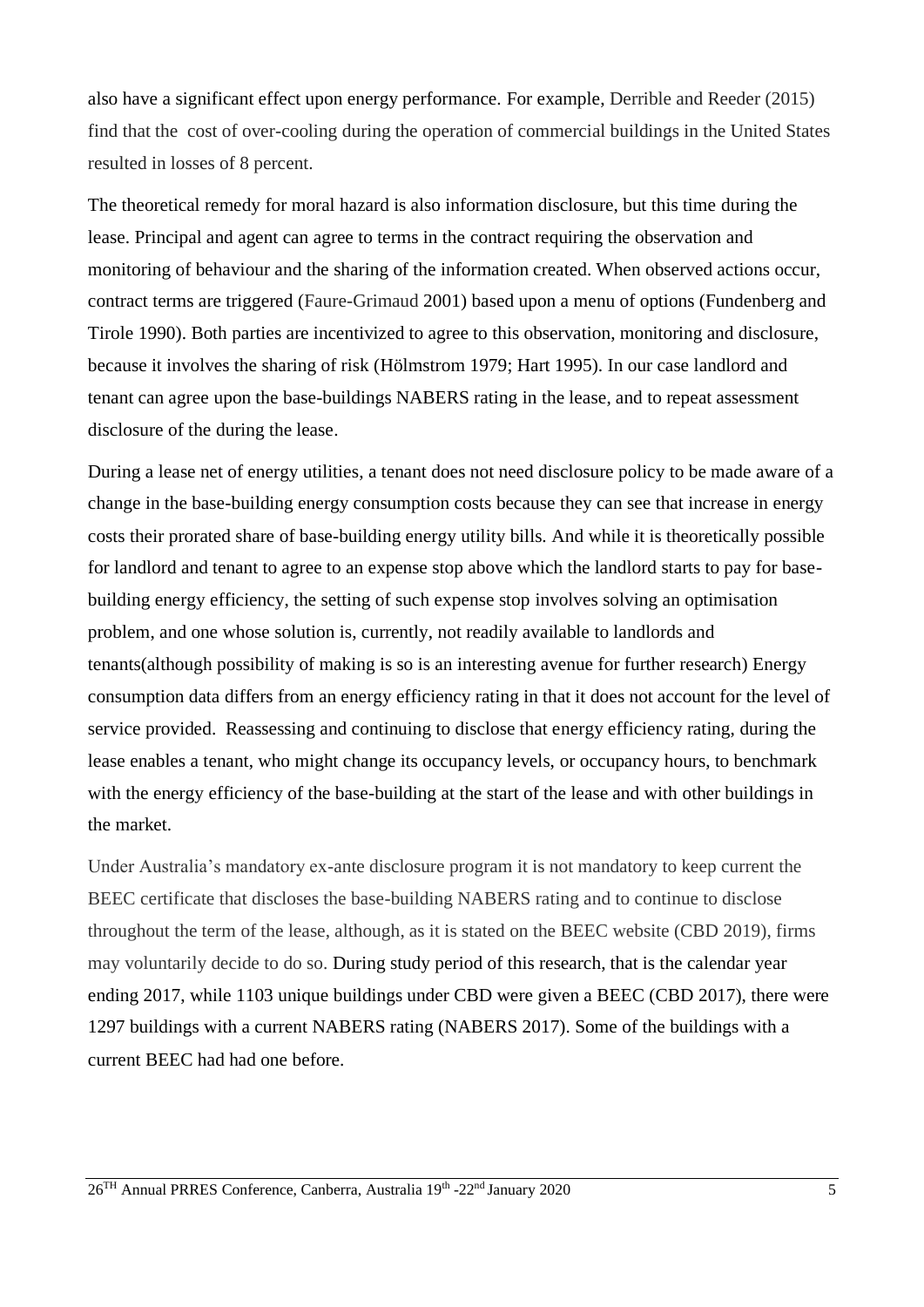also have a significant effect upon energy performance. For example, Derrible and Reeder (2015) find that the cost of over-cooling during the operation of commercial buildings in the United States resulted in losses of 8 percent.

The theoretical remedy for moral hazard is also information disclosure, but this time during the lease. Principal and agent can agree to terms in the contract requiring the observation and monitoring of behaviour and the sharing of the information created. When observed actions occur, contract terms are triggered (Faure-Grimaud 2001) based upon a menu of options (Fundenberg and Tirole 1990). Both parties are incentivized to agree to this observation, monitoring and disclosure, because it involves the sharing of risk (Hölmstrom 1979; Hart 1995). In our case landlord and tenant can agree upon the base-buildings NABERS rating in the lease, and to repeat assessment disclosure of the during the lease.

During a lease net of energy utilities, a tenant does not need disclosure policy to be made aware of a change in the base-building energy consumption costs because they can see that increase in energy costs their prorated share of base-building energy utility bills. And while it is theoretically possible for landlord and tenant to agree to an expense stop above which the landlord starts to pay for basebuilding energy efficiency, the setting of such expense stop involves solving an optimisation problem, and one whose solution is, currently, not readily available to landlords and tenants(although possibility of making is so is an interesting avenue for further research) Energy consumption data differs from an energy efficiency rating in that it does not account for the level of service provided. Reassessing and continuing to disclose that energy efficiency rating, during the lease enables a tenant, who might change its occupancy levels, or occupancy hours, to benchmark with the energy efficiency of the base-building at the start of the lease and with other buildings in the market.

Under Australia's mandatory ex-ante disclosure program it is not mandatory to keep current the BEEC certificate that discloses the base-building NABERS rating and to continue to disclose throughout the term of the lease, although, as it is stated on the BEEC website (CBD 2019), firms may voluntarily decide to do so. During study period of this research, that is the calendar year ending 2017, while 1103 unique buildings under CBD were given a BEEC (CBD 2017), there were 1297 buildings with a current NABERS rating (NABERS 2017). Some of the buildings with a current BEEC had had one before.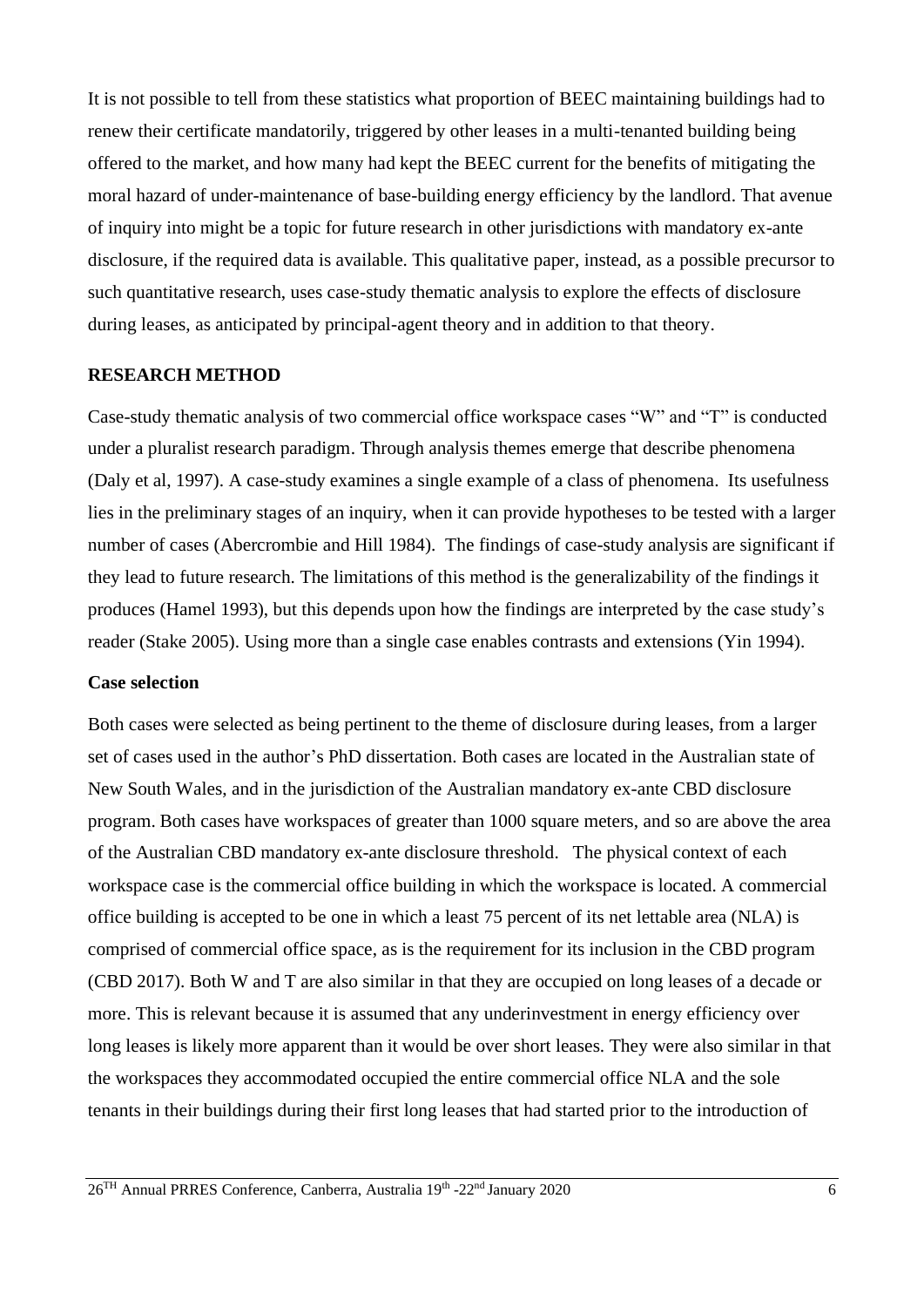It is not possible to tell from these statistics what proportion of BEEC maintaining buildings had to renew their certificate mandatorily, triggered by other leases in a multi-tenanted building being offered to the market, and how many had kept the BEEC current for the benefits of mitigating the moral hazard of under-maintenance of base-building energy efficiency by the landlord. That avenue of inquiry into might be a topic for future research in other jurisdictions with mandatory ex-ante disclosure, if the required data is available. This qualitative paper, instead, as a possible precursor to such quantitative research, uses case-study thematic analysis to explore the effects of disclosure during leases, as anticipated by principal-agent theory and in addition to that theory.

#### **RESEARCH METHOD**

Case-study thematic analysis of two commercial office workspace cases "W" and "T" is conducted under a pluralist research paradigm. Through analysis themes emerge that describe phenomena (Daly et al, 1997). A case-study examines a single example of a class of phenomena. Its usefulness lies in the preliminary stages of an inquiry, when it can provide hypotheses to be tested with a larger number of cases (Abercrombie and Hill 1984). The findings of case-study analysis are significant if they lead to future research. The limitations of this method is the generalizability of the findings it produces (Hamel 1993), but this depends upon how the findings are interpreted by the case study's reader (Stake 2005). Using more than a single case enables contrasts and extensions (Yin 1994).

### **Case selection**

Both cases were selected as being pertinent to the theme of disclosure during leases, from a larger set of cases used in the author's PhD dissertation. Both cases are located in the Australian state of New South Wales, and in the jurisdiction of the Australian mandatory ex-ante CBD disclosure program. Both cases have workspaces of greater than 1000 square meters, and so are above the area of the Australian CBD mandatory ex-ante disclosure threshold. The physical context of each workspace case is the commercial office building in which the workspace is located. A commercial office building is accepted to be one in which a least 75 percent of its net lettable area (NLA) is comprised of commercial office space, as is the requirement for its inclusion in the CBD program (CBD 2017). Both W and T are also similar in that they are occupied on long leases of a decade or more. This is relevant because it is assumed that any underinvestment in energy efficiency over long leases is likely more apparent than it would be over short leases. They were also similar in that the workspaces they accommodated occupied the entire commercial office NLA and the sole tenants in their buildings during their first long leases that had started prior to the introduction of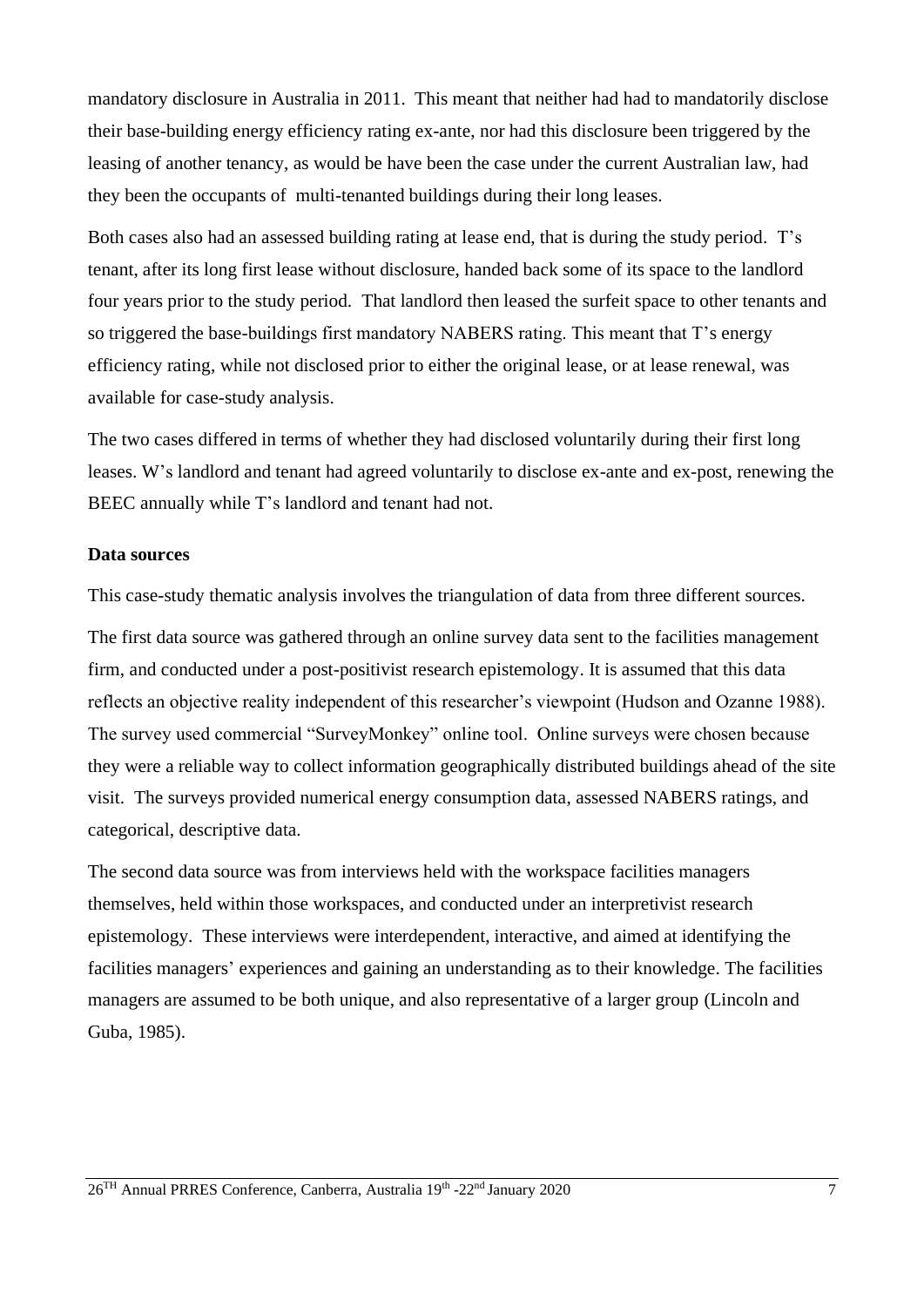mandatory disclosure in Australia in 2011. This meant that neither had had to mandatorily disclose their base-building energy efficiency rating ex-ante, nor had this disclosure been triggered by the leasing of another tenancy, as would be have been the case under the current Australian law, had they been the occupants of multi-tenanted buildings during their long leases.

Both cases also had an assessed building rating at lease end, that is during the study period. T's tenant, after its long first lease without disclosure, handed back some of its space to the landlord four years prior to the study period. That landlord then leased the surfeit space to other tenants and so triggered the base-buildings first mandatory NABERS rating. This meant that T's energy efficiency rating, while not disclosed prior to either the original lease, or at lease renewal, was available for case-study analysis.

The two cases differed in terms of whether they had disclosed voluntarily during their first long leases. W's landlord and tenant had agreed voluntarily to disclose ex-ante and ex-post, renewing the BEEC annually while T's landlord and tenant had not.

#### **Data sources**

This case-study thematic analysis involves the triangulation of data from three different sources.

The first data source was gathered through an online survey data sent to the facilities management firm, and conducted under a post-positivist research epistemology. It is assumed that this data reflects an objective reality independent of this researcher's viewpoint (Hudson and Ozanne 1988). The survey used commercial "SurveyMonkey" online tool. Online surveys were chosen because they were a reliable way to collect information geographically distributed buildings ahead of the site visit. The surveys provided numerical energy consumption data, assessed NABERS ratings, and categorical, descriptive data.

The second data source was from interviews held with the workspace facilities managers themselves, held within those workspaces, and conducted under an interpretivist research epistemology. These interviews were interdependent, interactive, and aimed at identifying the facilities managers' experiences and gaining an understanding as to their knowledge. The facilities managers are assumed to be both unique, and also representative of a larger group (Lincoln and Guba, 1985).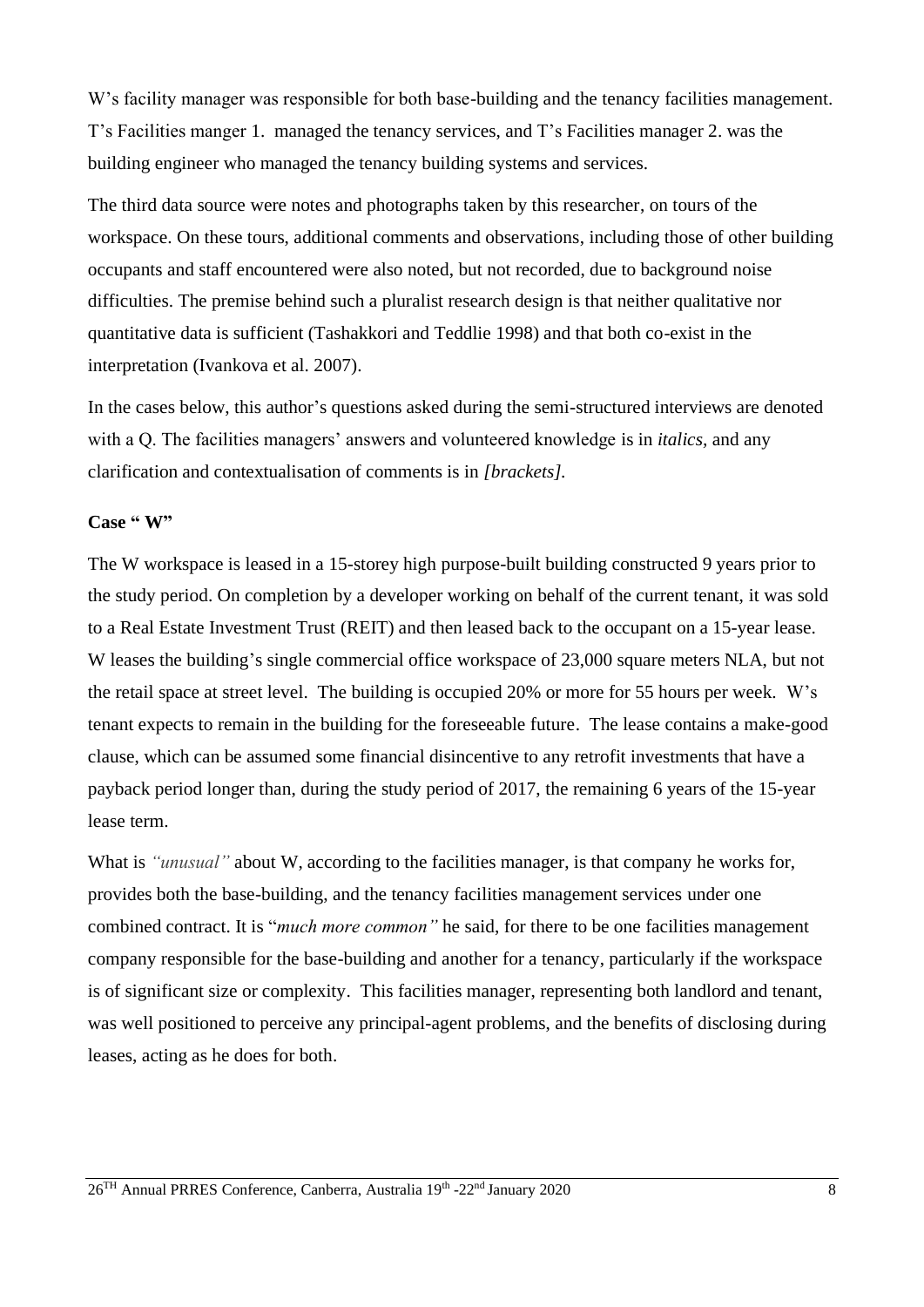W's facility manager was responsible for both base-building and the tenancy facilities management. T's Facilities manger 1. managed the tenancy services, and T's Facilities manager 2. was the building engineer who managed the tenancy building systems and services.

The third data source were notes and photographs taken by this researcher, on tours of the workspace. On these tours, additional comments and observations, including those of other building occupants and staff encountered were also noted, but not recorded, due to background noise difficulties. The premise behind such a pluralist research design is that neither qualitative nor quantitative data is sufficient (Tashakkori and Teddlie 1998) and that both co-exist in the interpretation (Ivankova et al. 2007).

In the cases below, this author's questions asked during the semi-structured interviews are denoted with a Q. The facilities managers' answers and volunteered knowledge is in *italics,* and any clarification and contextualisation of comments is in *[brackets].*

#### **Case " W"**

The W workspace is leased in a 15-storey high purpose-built building constructed 9 years prior to the study period. On completion by a developer working on behalf of the current tenant, it was sold to a Real Estate Investment Trust (REIT) and then leased back to the occupant on a 15-year lease. W leases the building's single commercial office workspace of 23,000 square meters NLA, but not the retail space at street level. The building is occupied 20% or more for 55 hours per week. W's tenant expects to remain in the building for the foreseeable future. The lease contains a make-good clause, which can be assumed some financial disincentive to any retrofit investments that have a payback period longer than, during the study period of 2017, the remaining 6 years of the 15-year lease term.

What is *"unusual"* about W, according to the facilities manager, is that company he works for, provides both the base-building, and the tenancy facilities management services under one combined contract. It is "*much more common"* he said, for there to be one facilities management company responsible for the base-building and another for a tenancy, particularly if the workspace is of significant size or complexity. This facilities manager, representing both landlord and tenant, was well positioned to perceive any principal-agent problems, and the benefits of disclosing during leases, acting as he does for both.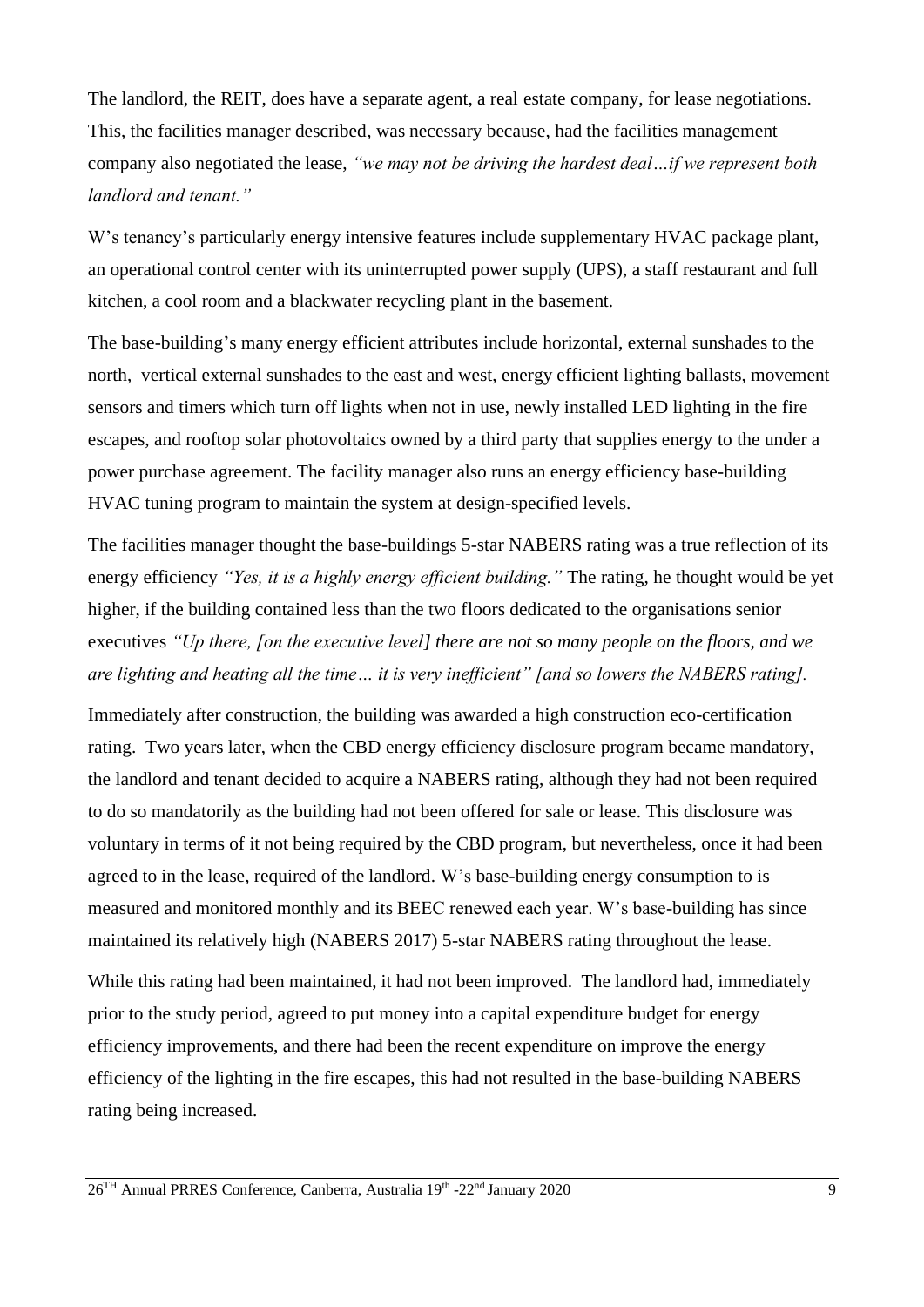The landlord, the REIT, does have a separate agent, a real estate company, for lease negotiations. This, the facilities manager described, was necessary because, had the facilities management company also negotiated the lease, *"we may not be driving the hardest deal…if we represent both landlord and tenant."*

W's tenancy's particularly energy intensive features include supplementary HVAC package plant, an operational control center with its uninterrupted power supply (UPS), a staff restaurant and full kitchen, a cool room and a blackwater recycling plant in the basement.

The base-building's many energy efficient attributes include horizontal, external sunshades to the north, vertical external sunshades to the east and west, energy efficient lighting ballasts, movement sensors and timers which turn off lights when not in use, newly installed LED lighting in the fire escapes, and rooftop solar photovoltaics owned by a third party that supplies energy to the under a power purchase agreement. The facility manager also runs an energy efficiency base-building HVAC tuning program to maintain the system at design-specified levels.

The facilities manager thought the base-buildings 5-star NABERS rating was a true reflection of its energy efficiency *"Yes, it is a highly energy efficient building."* The rating, he thought would be yet higher, if the building contained less than the two floors dedicated to the organisations senior executives *"Up there, [on the executive level] there are not so many people on the floors, and we are lighting and heating all the time… it is very inefficient" [and so lowers the NABERS rating].* 

Immediately after construction, the building was awarded a high construction eco-certification rating. Two years later, when the CBD energy efficiency disclosure program became mandatory, the landlord and tenant decided to acquire a NABERS rating, although they had not been required to do so mandatorily as the building had not been offered for sale or lease. This disclosure was voluntary in terms of it not being required by the CBD program, but nevertheless, once it had been agreed to in the lease, required of the landlord. W's base-building energy consumption to is measured and monitored monthly and its BEEC renewed each year. W's base-building has since maintained its relatively high (NABERS 2017) 5-star NABERS rating throughout the lease.

While this rating had been maintained, it had not been improved. The landlord had, immediately prior to the study period, agreed to put money into a capital expenditure budget for energy efficiency improvements, and there had been the recent expenditure on improve the energy efficiency of the lighting in the fire escapes, this had not resulted in the base-building NABERS rating being increased.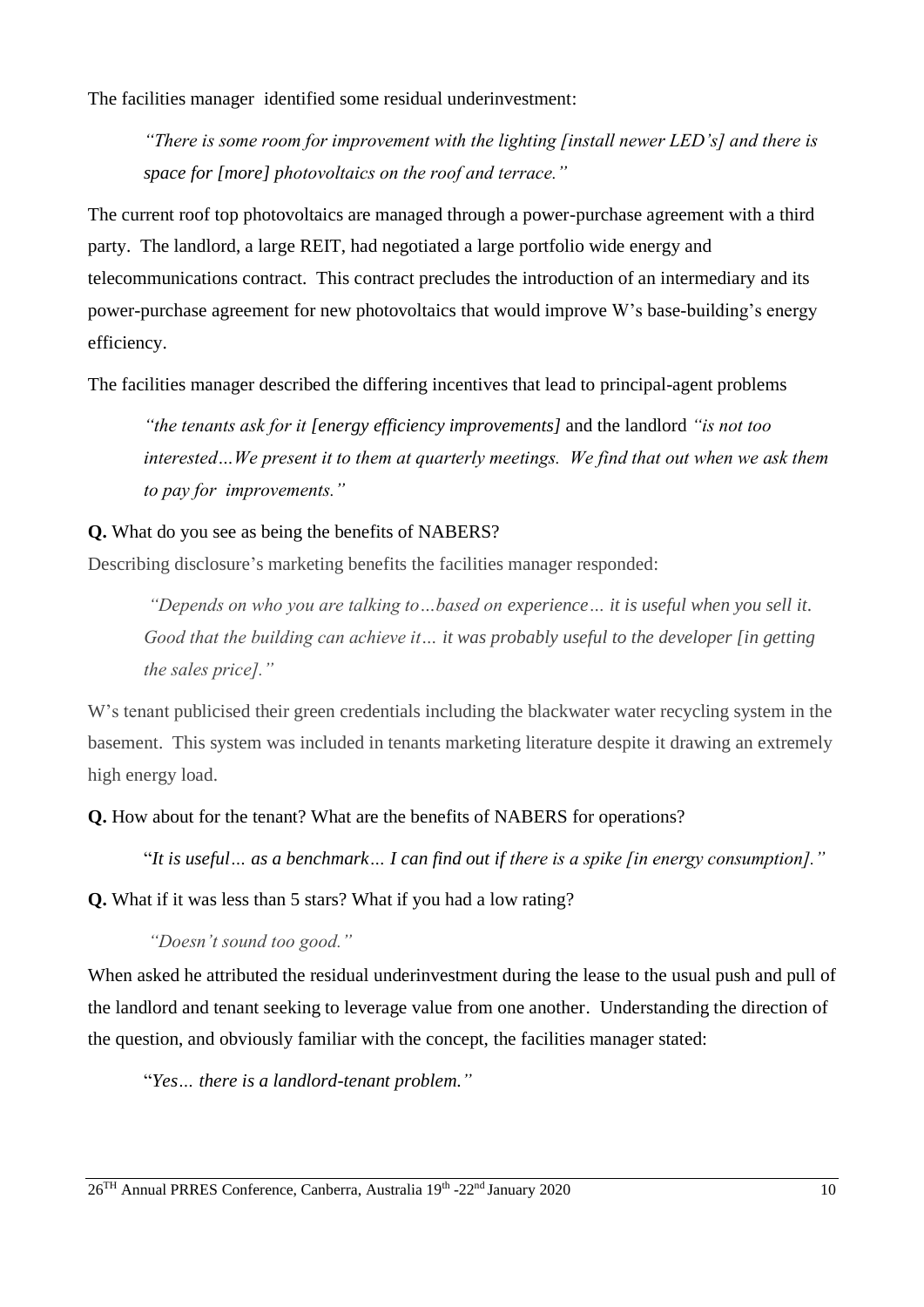The facilities manager identified some residual underinvestment:

*"There is some room for improvement with the lighting [install newer LED's] and there is space for [more] photovoltaics on the roof and terrace."*

The current roof top photovoltaics are managed through a power-purchase agreement with a third party. The landlord, a large REIT, had negotiated a large portfolio wide energy and telecommunications contract. This contract precludes the introduction of an intermediary and its power-purchase agreement for new photovoltaics that would improve W's base-building's energy efficiency.

The facilities manager described the differing incentives that lead to principal-agent problems

*"the tenants ask for it [energy efficiency improvements]* and the landlord *"is not too*  interested...We present it to them at quarterly meetings. We find that out when we ask them *to pay for improvements."*

### **Q.** What do you see as being the benefits of NABERS?

Describing disclosure's marketing benefits the facilities manager responded:

*"Depends on who you are talking to…based on experience… it is useful when you sell it. Good that the building can achieve it… it was probably useful to the developer [in getting the sales price]."* 

W's tenant publicised their green credentials including the blackwater water recycling system in the basement. This system was included in tenants marketing literature despite it drawing an extremely high energy load.

**Q.** How about for the tenant? What are the benefits of NABERS for operations?

"*It is useful… as a benchmark… I can find out if there is a spike [in energy consumption]."*

**Q.** What if it was less than 5 stars? What if you had a low rating?

*"Doesn't sound too good."* 

When asked he attributed the residual underinvestment during the lease to the usual push and pull of the landlord and tenant seeking to leverage value from one another. Understanding the direction of the question, and obviously familiar with the concept, the facilities manager stated:

"*Yes… there is a landlord-tenant problem."*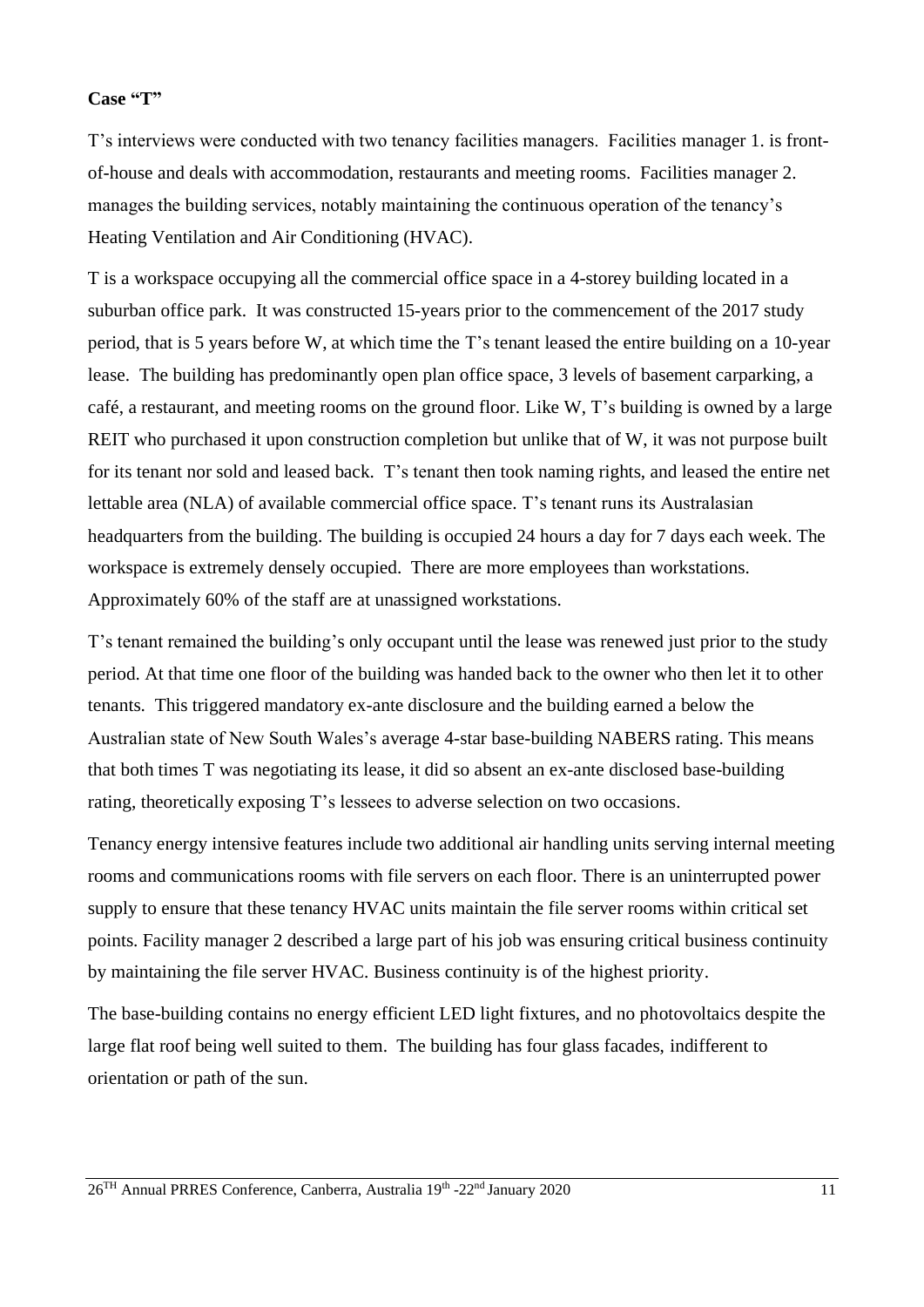#### **Case "T"**

T's interviews were conducted with two tenancy facilities managers. Facilities manager 1. is frontof-house and deals with accommodation, restaurants and meeting rooms. Facilities manager 2. manages the building services, notably maintaining the continuous operation of the tenancy's Heating Ventilation and Air Conditioning (HVAC).

T is a workspace occupying all the commercial office space in a 4-storey building located in a suburban office park. It was constructed 15-years prior to the commencement of the 2017 study period, that is 5 years before W, at which time the T's tenant leased the entire building on a 10-year lease. The building has predominantly open plan office space, 3 levels of basement carparking, a café, a restaurant, and meeting rooms on the ground floor. Like W, T's building is owned by a large REIT who purchased it upon construction completion but unlike that of W, it was not purpose built for its tenant nor sold and leased back. T's tenant then took naming rights, and leased the entire net lettable area (NLA) of available commercial office space. T's tenant runs its Australasian headquarters from the building. The building is occupied 24 hours a day for 7 days each week. The workspace is extremely densely occupied. There are more employees than workstations. Approximately 60% of the staff are at unassigned workstations.

T's tenant remained the building's only occupant until the lease was renewed just prior to the study period. At that time one floor of the building was handed back to the owner who then let it to other tenants. This triggered mandatory ex-ante disclosure and the building earned a below the Australian state of New South Wales's average 4-star base-building NABERS rating. This means that both times T was negotiating its lease, it did so absent an ex-ante disclosed base-building rating, theoretically exposing T's lessees to adverse selection on two occasions.

Tenancy energy intensive features include two additional air handling units serving internal meeting rooms and communications rooms with file servers on each floor. There is an uninterrupted power supply to ensure that these tenancy HVAC units maintain the file server rooms within critical set points. Facility manager 2 described a large part of his job was ensuring critical business continuity by maintaining the file server HVAC. Business continuity is of the highest priority.

The base-building contains no energy efficient LED light fixtures, and no photovoltaics despite the large flat roof being well suited to them. The building has four glass facades, indifferent to orientation or path of the sun.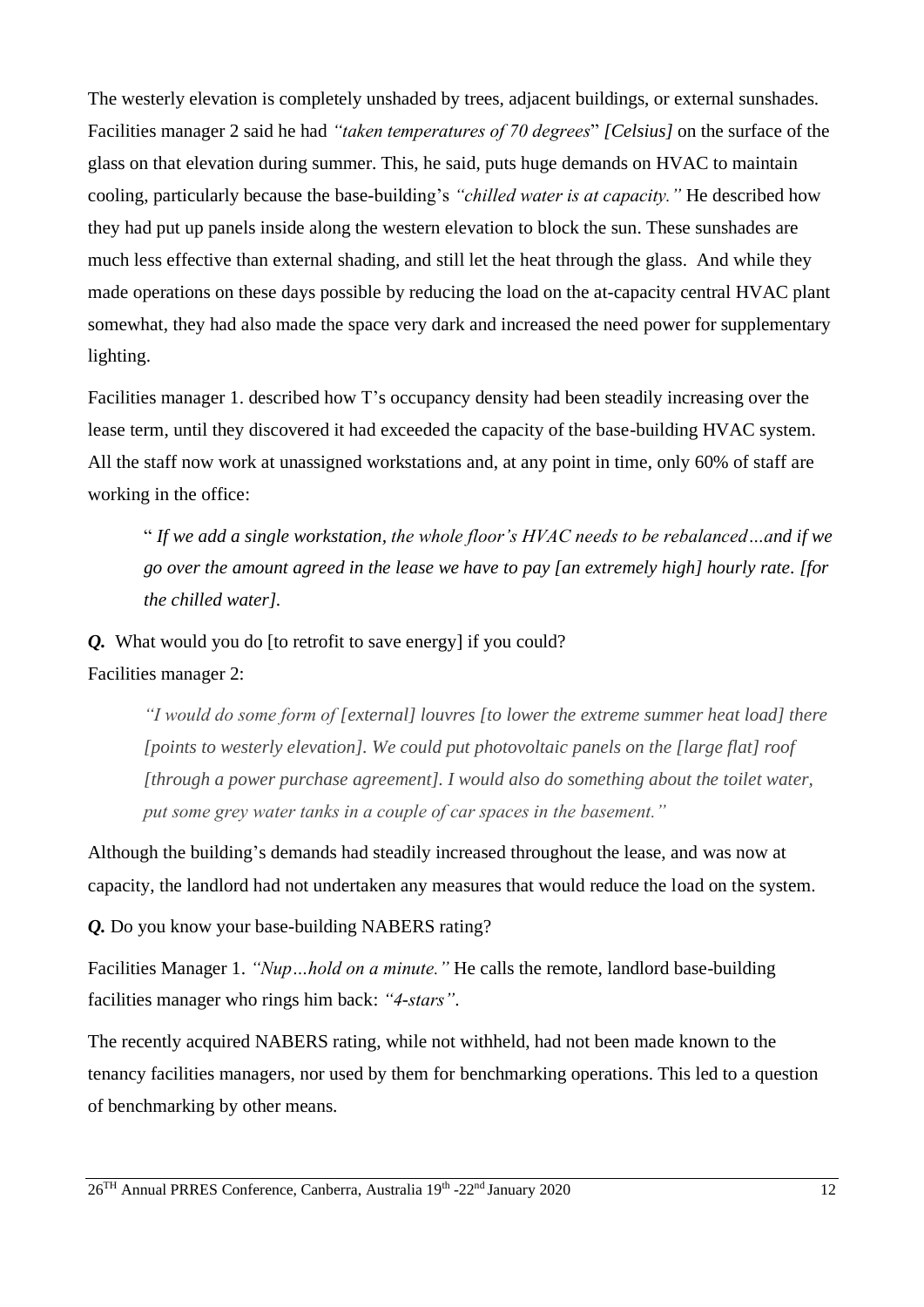The westerly elevation is completely unshaded by trees, adjacent buildings, or external sunshades. Facilities manager 2 said he had *"taken temperatures of 70 degrees*" *[Celsius]* on the surface of the glass on that elevation during summer. This, he said, puts huge demands on HVAC to maintain cooling, particularly because the base-building's *"chilled water is at capacity."* He described how they had put up panels inside along the western elevation to block the sun. These sunshades are much less effective than external shading, and still let the heat through the glass. And while they made operations on these days possible by reducing the load on the at-capacity central HVAC plant somewhat, they had also made the space very dark and increased the need power for supplementary lighting.

Facilities manager 1. described how T's occupancy density had been steadily increasing over the lease term, until they discovered it had exceeded the capacity of the base-building HVAC system. All the staff now work at unassigned workstations and, at any point in time, only 60% of staff are working in the office:

" *If we add a single workstation, the whole floor's HVAC needs to be rebalanced…and if we go over the amount agreed in the lease we have to pay [an extremely high] hourly rate. [for the chilled water].*

*Q.* What would you do [to retrofit to save energy] if you could?

Facilities manager 2:

*"I would do some form of [external] louvres [to lower the extreme summer heat load] there [points to westerly elevation]. We could put photovoltaic panels on the [large flat] roof [through a power purchase agreement]. I would also do something about the toilet water, put some grey water tanks in a couple of car spaces in the basement."* 

Although the building's demands had steadily increased throughout the lease, and was now at capacity, the landlord had not undertaken any measures that would reduce the load on the system.

*<i>Q*. Do you know your base-building NABERS rating?

Facilities Manager 1. *"Nup…hold on a minute."* He calls the remote, landlord base-building facilities manager who rings him back: *"4-stars"*.

The recently acquired NABERS rating, while not withheld, had not been made known to the tenancy facilities managers, nor used by them for benchmarking operations. This led to a question of benchmarking by other means.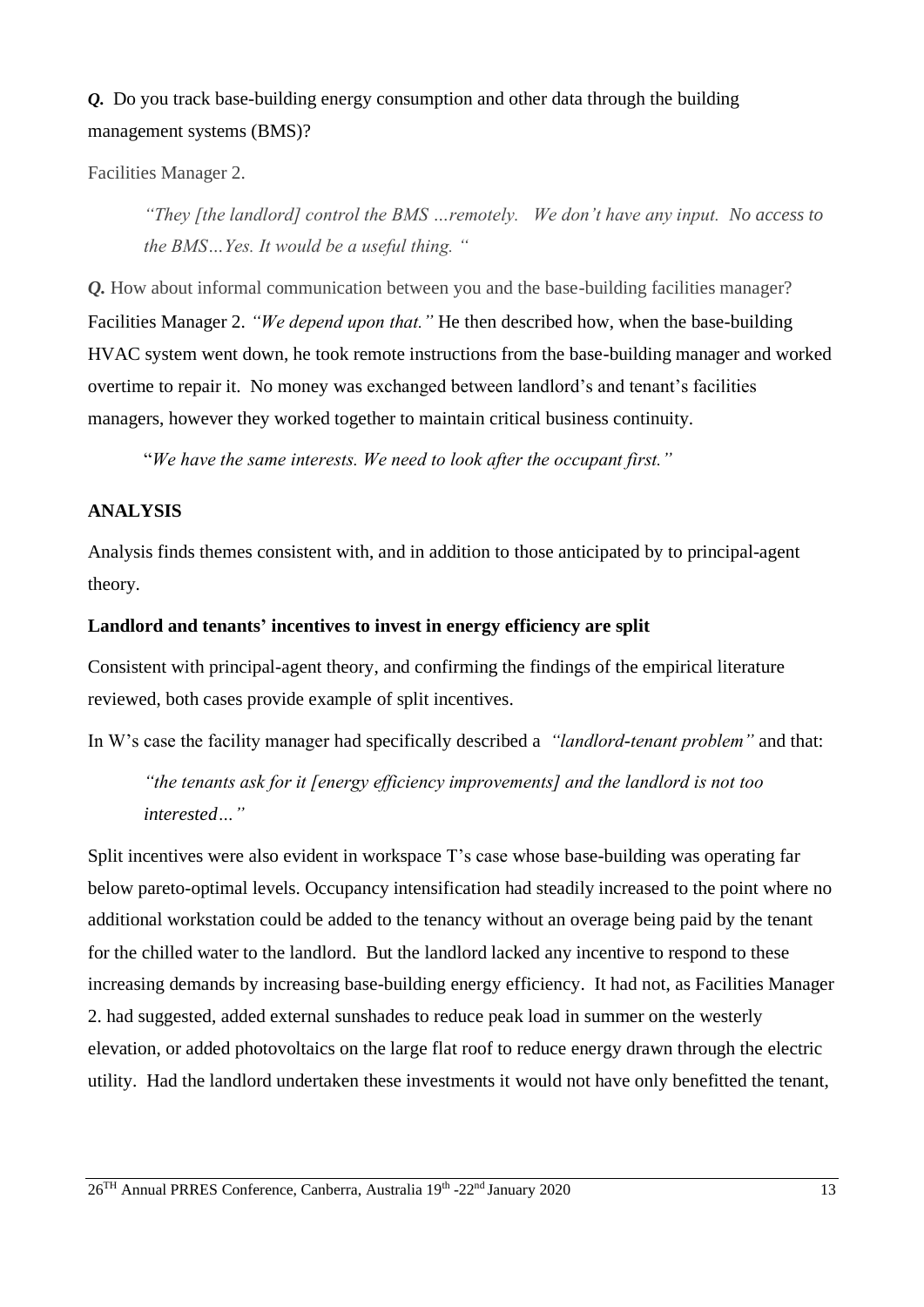# *Q.* Do you track base-building energy consumption and other data through the building management systems (BMS)?

Facilities Manager 2.

*"They [the landlord] control the BMS …remotely. We don't have any input. No access to the BMS…Yes. It would be a useful thing. "*

*Q.* How about informal communication between you and the base-building facilities manager? Facilities Manager 2. *"We depend upon that."* He then described how, when the base-building HVAC system went down, he took remote instructions from the base-building manager and worked overtime to repair it. No money was exchanged between landlord's and tenant's facilities managers, however they worked together to maintain critical business continuity.

"*We have the same interests. We need to look after the occupant first."*

#### **ANALYSIS**

Analysis finds themes consistent with, and in addition to those anticipated by to principal-agent theory.

#### **Landlord and tenants' incentives to invest in energy efficiency are split**

Consistent with principal-agent theory, and confirming the findings of the empirical literature reviewed, both cases provide example of split incentives.

In W's case the facility manager had specifically described a *"landlord-tenant problem"* and that:

*"the tenants ask for it [energy efficiency improvements] and the landlord is not too interested…"*

Split incentives were also evident in workspace T's case whose base-building was operating far below pareto-optimal levels. Occupancy intensification had steadily increased to the point where no additional workstation could be added to the tenancy without an overage being paid by the tenant for the chilled water to the landlord. But the landlord lacked any incentive to respond to these increasing demands by increasing base-building energy efficiency. It had not, as Facilities Manager 2. had suggested, added external sunshades to reduce peak load in summer on the westerly elevation, or added photovoltaics on the large flat roof to reduce energy drawn through the electric utility. Had the landlord undertaken these investments it would not have only benefitted the tenant,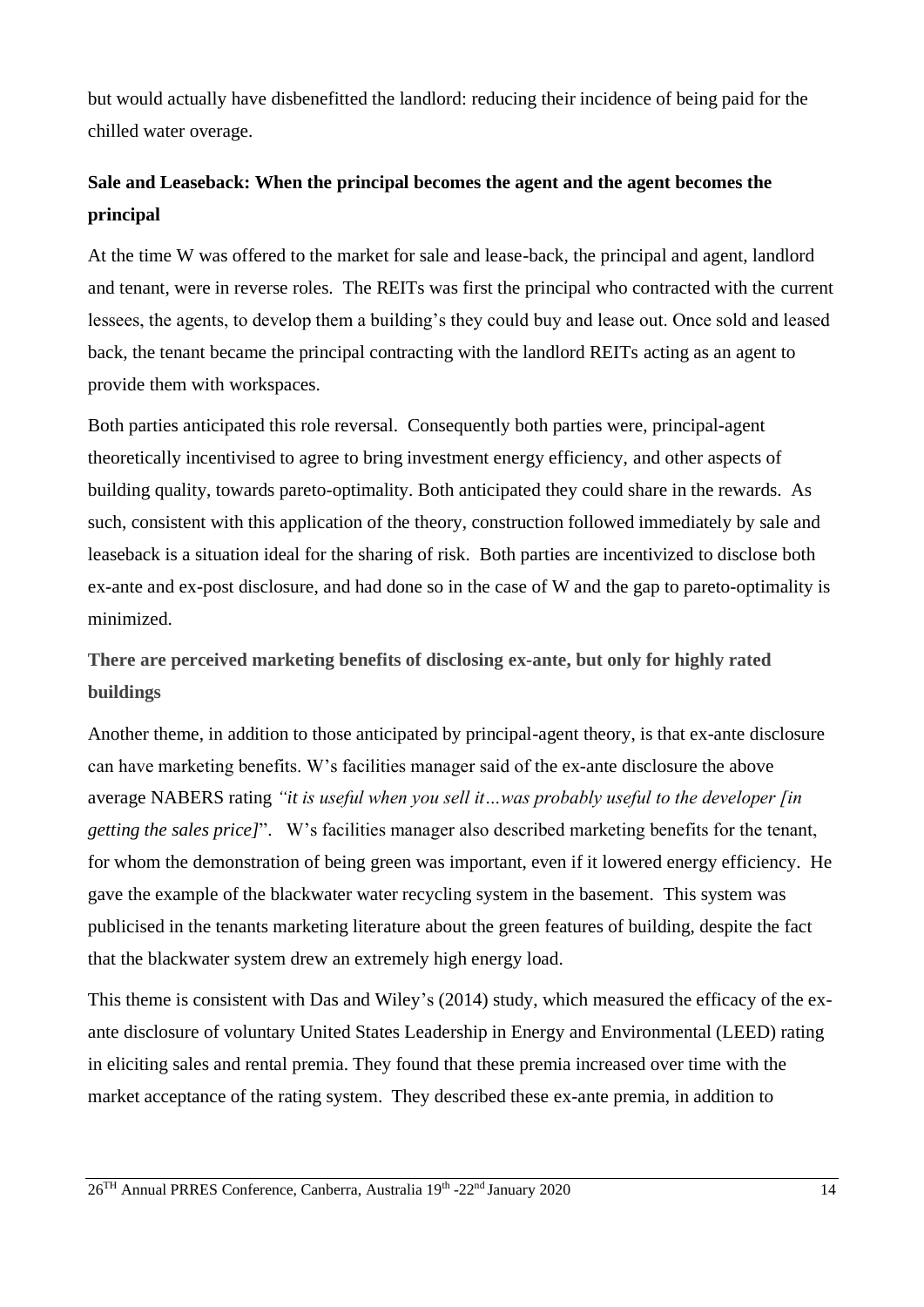but would actually have disbenefitted the landlord: reducing their incidence of being paid for the chilled water overage.

# **Sale and Leaseback: When the principal becomes the agent and the agent becomes the principal**

At the time W was offered to the market for sale and lease-back, the principal and agent, landlord and tenant, were in reverse roles. The REITs was first the principal who contracted with the current lessees, the agents, to develop them a building's they could buy and lease out. Once sold and leased back, the tenant became the principal contracting with the landlord REITs acting as an agent to provide them with workspaces.

Both parties anticipated this role reversal. Consequently both parties were, principal-agent theoretically incentivised to agree to bring investment energy efficiency, and other aspects of building quality, towards pareto-optimality. Both anticipated they could share in the rewards. As such, consistent with this application of the theory, construction followed immediately by sale and leaseback is a situation ideal for the sharing of risk. Both parties are incentivized to disclose both ex-ante and ex-post disclosure, and had done so in the case of W and the gap to pareto-optimality is minimized.

**There are perceived marketing benefits of disclosing ex-ante, but only for highly rated buildings**

Another theme, in addition to those anticipated by principal-agent theory, is that ex-ante disclosure can have marketing benefits. W's facilities manager said of the ex-ante disclosure the above average NABERS rating *"it is useful when you sell it…was probably useful to the developer [in getting the sales price]*". W's facilities manager also described marketing benefits for the tenant, for whom the demonstration of being green was important, even if it lowered energy efficiency. He gave the example of the blackwater water recycling system in the basement. This system was publicised in the tenants marketing literature about the green features of building, despite the fact that the blackwater system drew an extremely high energy load.

This theme is consistent with Das and Wiley's (2014) study, which measured the efficacy of the exante disclosure of voluntary United States Leadership in Energy and Environmental (LEED) rating in eliciting sales and rental premia. They found that these premia increased over time with the market acceptance of the rating system. They described these ex-ante premia, in addition to

26<sup>TH</sup> Annual PRRES Conference, Canberra, Australia 19<sup>th</sup> -22<sup>nd</sup> January 2020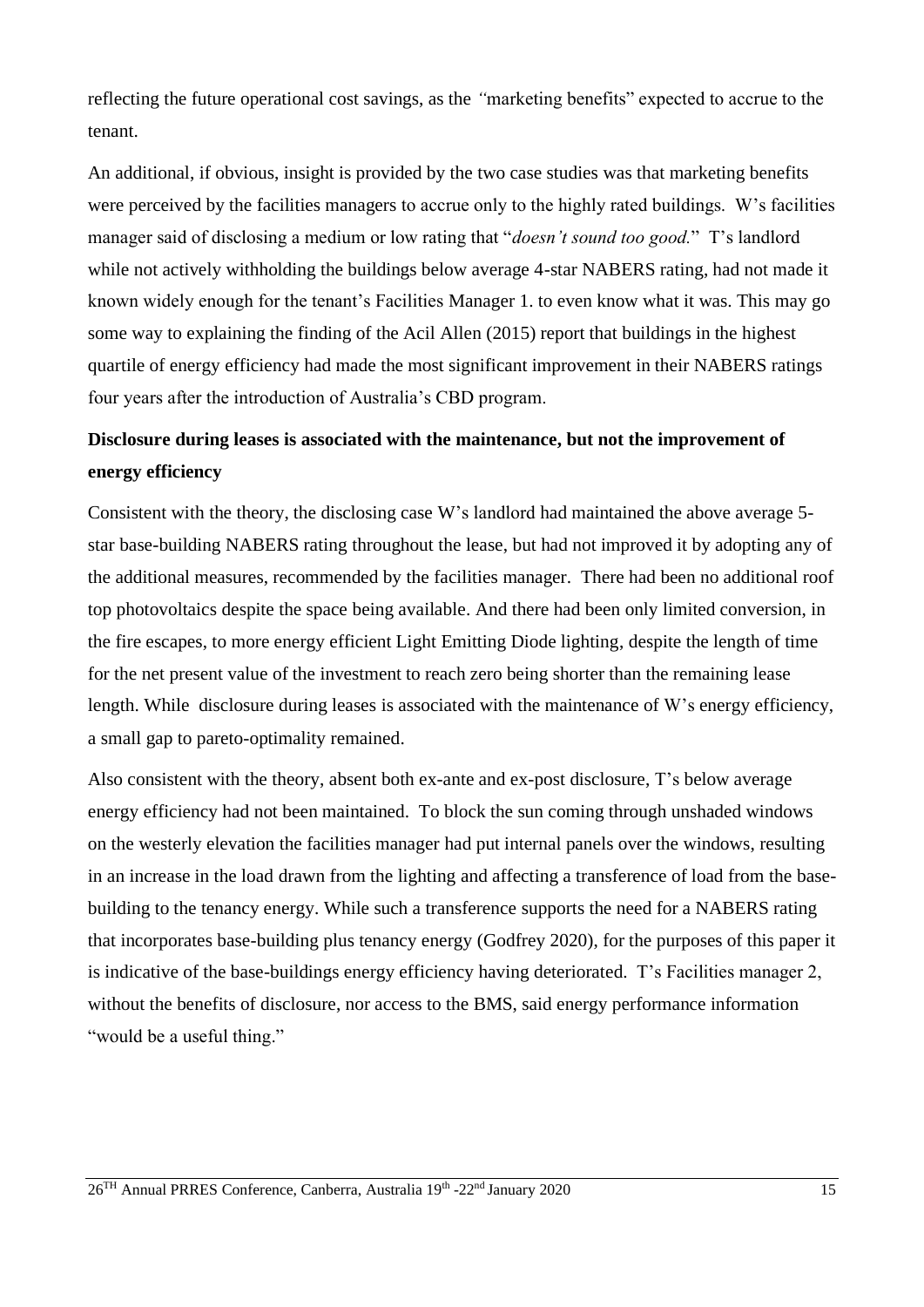reflecting the future operational cost savings, as the *"*marketing benefits" expected to accrue to the tenant.

An additional, if obvious, insight is provided by the two case studies was that marketing benefits were perceived by the facilities managers to accrue only to the highly rated buildings. W's facilities manager said of disclosing a medium or low rating that "*doesn't sound too good.*" T's landlord while not actively withholding the buildings below average 4-star NABERS rating, had not made it known widely enough for the tenant's Facilities Manager 1. to even know what it was. This may go some way to explaining the finding of the Acil Allen (2015) report that buildings in the highest quartile of energy efficiency had made the most significant improvement in their NABERS ratings four years after the introduction of Australia's CBD program.

# **Disclosure during leases is associated with the maintenance, but not the improvement of energy efficiency**

Consistent with the theory, the disclosing case W's landlord had maintained the above average 5 star base-building NABERS rating throughout the lease, but had not improved it by adopting any of the additional measures, recommended by the facilities manager. There had been no additional roof top photovoltaics despite the space being available. And there had been only limited conversion, in the fire escapes, to more energy efficient Light Emitting Diode lighting, despite the length of time for the net present value of the investment to reach zero being shorter than the remaining lease length. While disclosure during leases is associated with the maintenance of W's energy efficiency, a small gap to pareto-optimality remained.

Also consistent with the theory, absent both ex-ante and ex-post disclosure, T's below average energy efficiency had not been maintained. To block the sun coming through unshaded windows on the westerly elevation the facilities manager had put internal panels over the windows, resulting in an increase in the load drawn from the lighting and affecting a transference of load from the basebuilding to the tenancy energy. While such a transference supports the need for a NABERS rating that incorporates base-building plus tenancy energy (Godfrey 2020), for the purposes of this paper it is indicative of the base-buildings energy efficiency having deteriorated. T's Facilities manager 2, without the benefits of disclosure, nor access to the BMS, said energy performance information "would be a useful thing."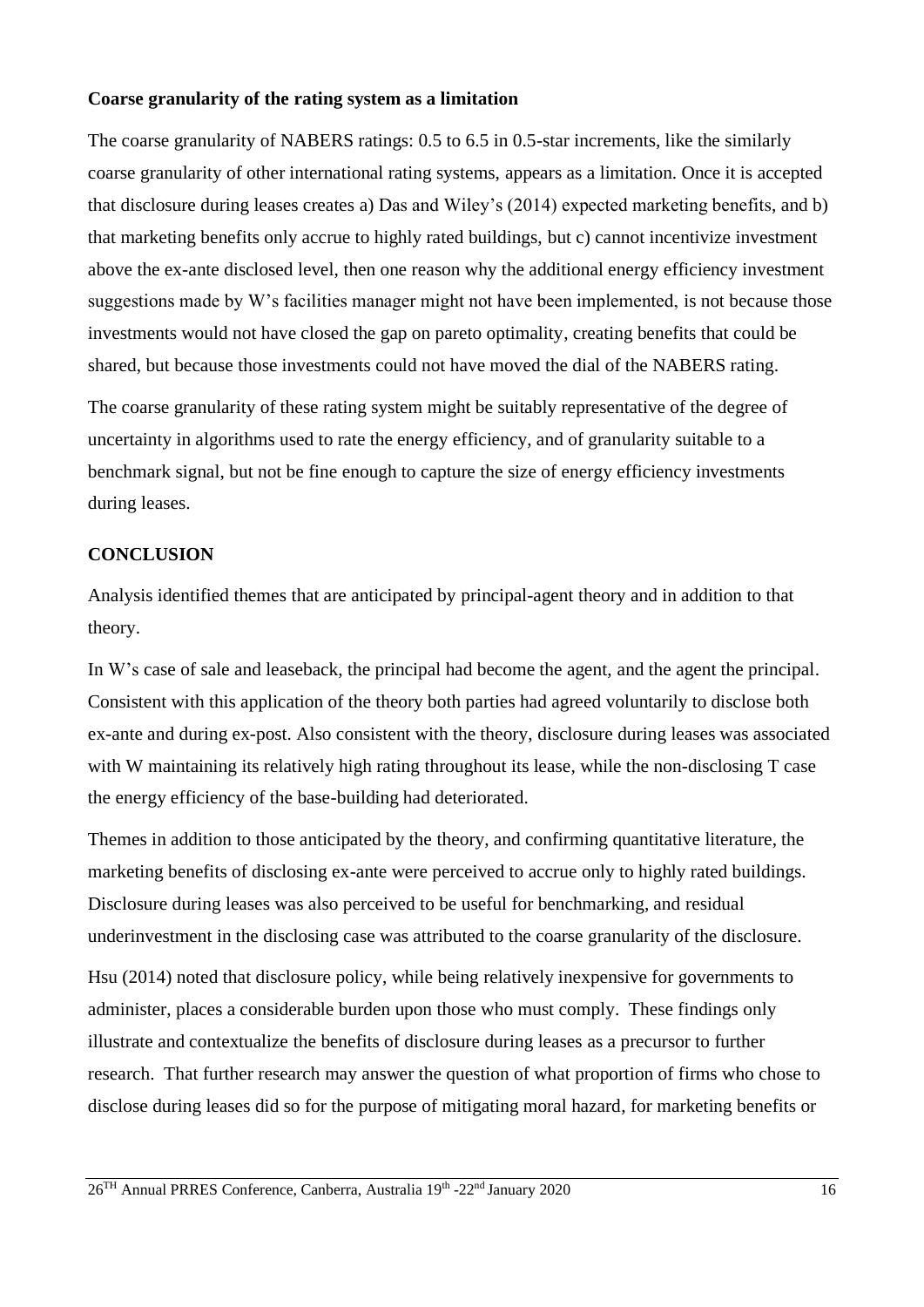#### **Coarse granularity of the rating system as a limitation**

The coarse granularity of NABERS ratings: 0.5 to 6.5 in 0.5-star increments, like the similarly coarse granularity of other international rating systems, appears as a limitation. Once it is accepted that disclosure during leases creates a) Das and Wiley's (2014) expected marketing benefits, and b) that marketing benefits only accrue to highly rated buildings, but c) cannot incentivize investment above the ex-ante disclosed level, then one reason why the additional energy efficiency investment suggestions made by W's facilities manager might not have been implemented, is not because those investments would not have closed the gap on pareto optimality, creating benefits that could be shared, but because those investments could not have moved the dial of the NABERS rating.

The coarse granularity of these rating system might be suitably representative of the degree of uncertainty in algorithms used to rate the energy efficiency, and of granularity suitable to a benchmark signal, but not be fine enough to capture the size of energy efficiency investments during leases.

#### **CONCLUSION**

Analysis identified themes that are anticipated by principal-agent theory and in addition to that theory.

In W's case of sale and leaseback, the principal had become the agent, and the agent the principal. Consistent with this application of the theory both parties had agreed voluntarily to disclose both ex-ante and during ex-post. Also consistent with the theory, disclosure during leases was associated with W maintaining its relatively high rating throughout its lease, while the non-disclosing T case the energy efficiency of the base-building had deteriorated.

Themes in addition to those anticipated by the theory, and confirming quantitative literature, the marketing benefits of disclosing ex-ante were perceived to accrue only to highly rated buildings. Disclosure during leases was also perceived to be useful for benchmarking, and residual underinvestment in the disclosing case was attributed to the coarse granularity of the disclosure.

Hsu (2014) noted that disclosure policy, while being relatively inexpensive for governments to administer, places a considerable burden upon those who must comply. These findings only illustrate and contextualize the benefits of disclosure during leases as a precursor to further research. That further research may answer the question of what proportion of firms who chose to disclose during leases did so for the purpose of mitigating moral hazard, for marketing benefits or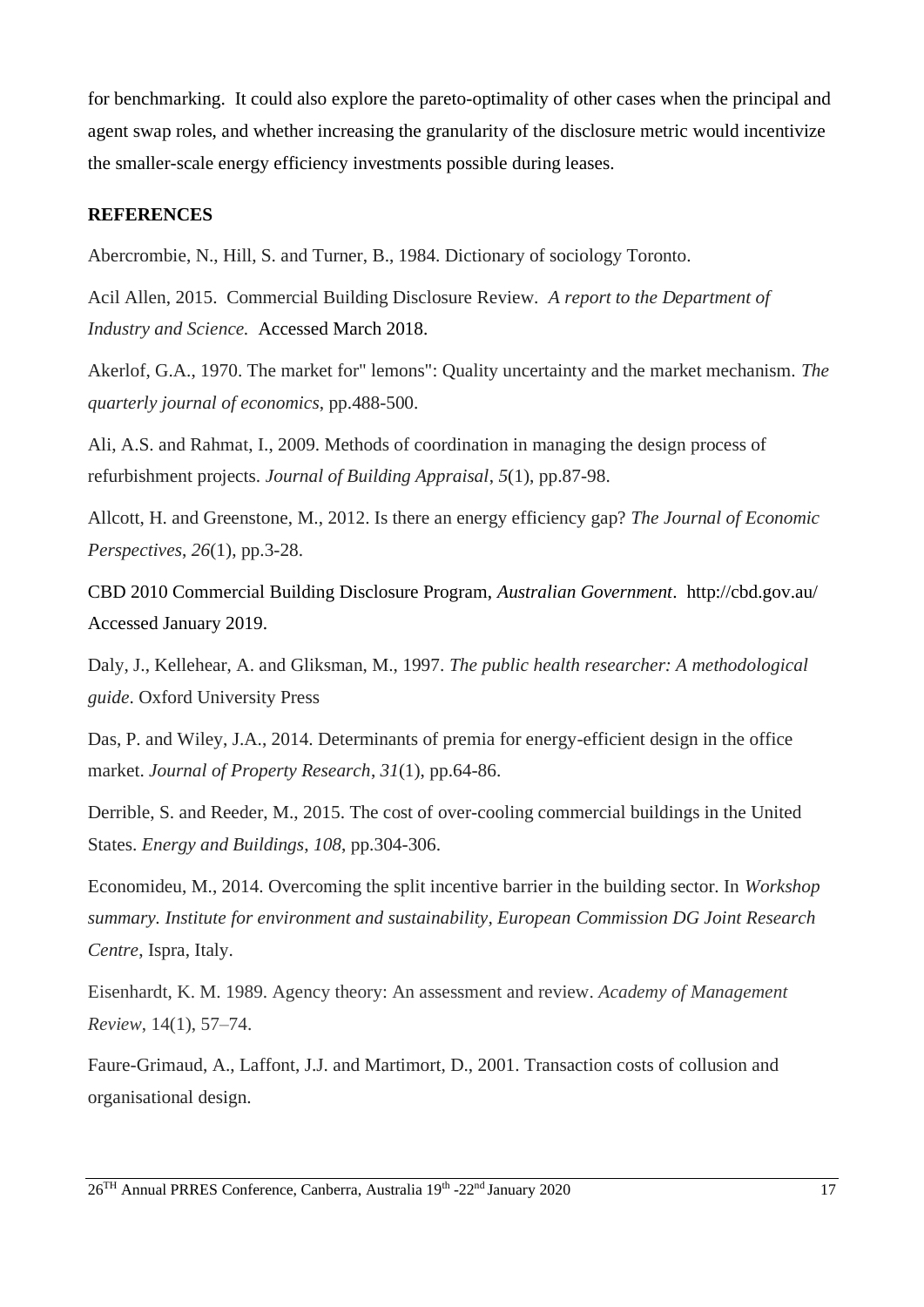for benchmarking. It could also explore the pareto-optimality of other cases when the principal and agent swap roles, and whether increasing the granularity of the disclosure metric would incentivize the smaller-scale energy efficiency investments possible during leases.

#### **REFERENCES**

Abercrombie, N., Hill, S. and Turner, B., 1984. Dictionary of sociology Toronto.

Acil Allen, 2015. Commercial Building Disclosure Review. *A report to the Department of Industry and Science.* Accessed March 2018.

Akerlof, G.A., 1970. The market for" lemons": Quality uncertainty and the market mechanism. *The quarterly journal of economics*, pp.488-500.

Ali, A.S. and Rahmat, I., 2009. Methods of coordination in managing the design process of refurbishment projects. *Journal of Building Appraisal*, *5*(1), pp.87-98.

Allcott, H. and Greenstone, M., 2012. Is there an energy efficiency gap? *The Journal of Economic Perspectives*, *26*(1), pp.3-28.

CBD 2010 Commercial Building Disclosure Program, *Australian Government*. http://cbd.gov.au/ Accessed January 2019.

Daly, J., Kellehear, A. and Gliksman, M., 1997. *The public health researcher: A methodological guide*. Oxford University Press

Das, P. and Wiley, J.A., 2014. Determinants of premia for energy-efficient design in the office market. *Journal of Property Research*, *31*(1), pp.64-86.

Derrible, S. and Reeder, M., 2015. The cost of over-cooling commercial buildings in the United States. *Energy and Buildings*, *108*, pp.304-306.

Economideu, M., 2014. Overcoming the split incentive barrier in the building sector. In *Workshop summary. Institute for environment and sustainability, European Commission DG Joint Research Centre*, Ispra, Italy.

Eisenhardt, K. M. 1989. Agency theory: An assessment and review. *Academy of Management Review*, 14(1), 57–74.

Faure-Grimaud, A., Laffont, J.J. and Martimort, D., 2001. Transaction costs of collusion and organisational design.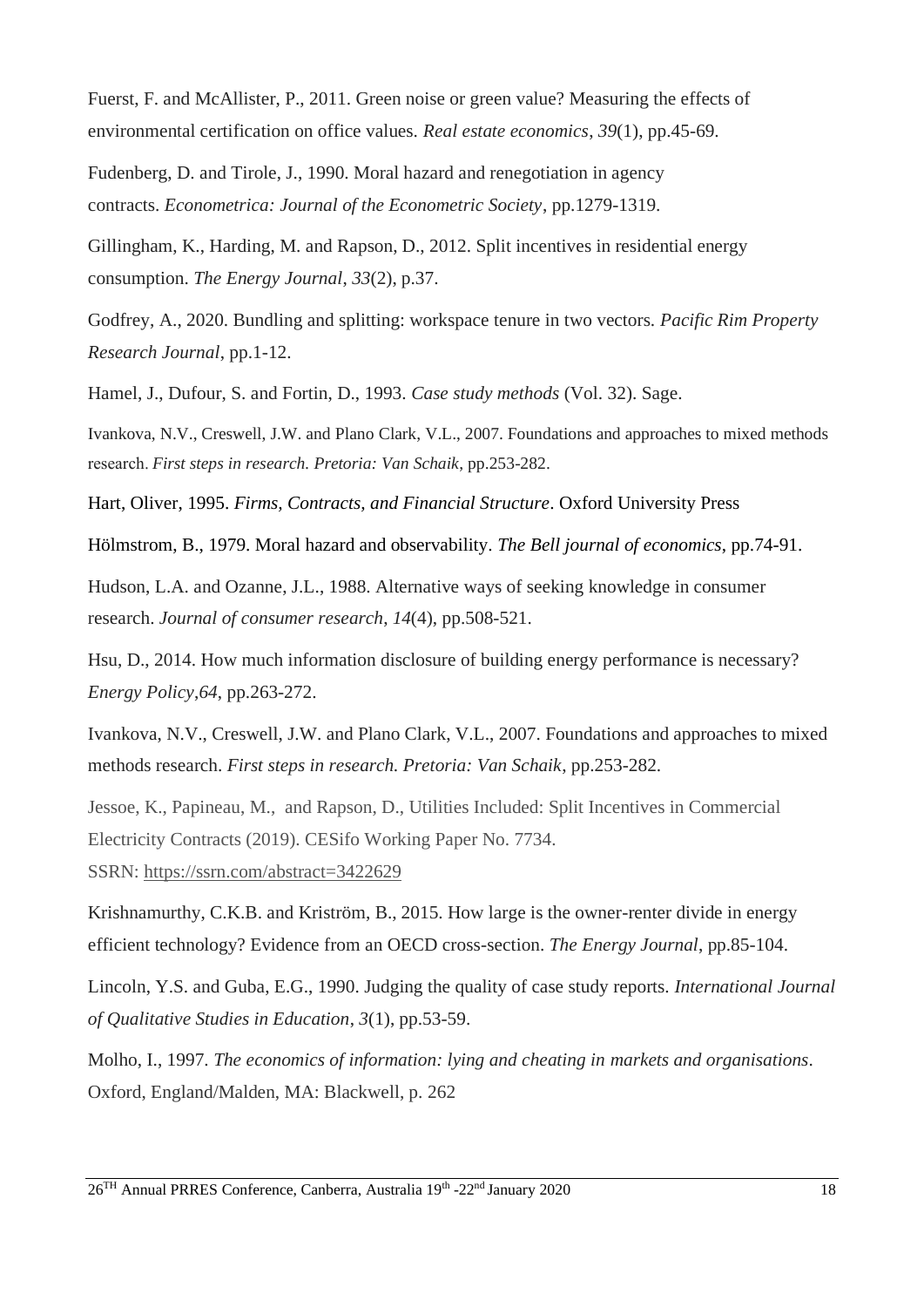Fuerst, F. and McAllister, P., 2011. Green noise or green value? Measuring the effects of environmental certification on office values. *Real estate economics*, *39*(1), pp.45-69.

Fudenberg, D. and Tirole, J., 1990. Moral hazard and renegotiation in agency contracts. *Econometrica: Journal of the Econometric Society*, pp.1279-1319.

Gillingham, K., Harding, M. and Rapson, D., 2012. Split incentives in residential energy consumption. *The Energy Journal*, *33*(2), p.37.

Godfrey, A., 2020. Bundling and splitting: workspace tenure in two vectors. *Pacific Rim Property Research Journal*, pp.1-12.

Hamel, J., Dufour, S. and Fortin, D., 1993. *Case study methods* (Vol. 32). Sage.

Ivankova, N.V., Creswell, J.W. and Plano Clark, V.L., 2007. Foundations and approaches to mixed methods research. *First steps in research. Pretoria: Van Schaik*, pp.253-282.

[Hart, Oliver,](https://en.wikipedia.org/wiki/Oliver_Hart_(economist)) 1995. *Firms, Contracts, and Financial Structure*. Oxford University Press

Hölmstrom, B., 1979. Moral hazard and observability. *The Bell journal of economics*, pp.74-91.

Hudson, L.A. and Ozanne, J.L., 1988. Alternative ways of seeking knowledge in consumer research. *Journal of consumer research*, *14*(4), pp.508-521.

Hsu, D., 2014. How much information disclosure of building energy performance is necessary? *Energy Policy*,*64*, pp.263-272.

Ivankova, N.V., Creswell, J.W. and Plano Clark, V.L., 2007. Foundations and approaches to mixed methods research. *First steps in research. Pretoria: Van Schaik*, pp.253-282.

Jessoe, K., Papineau, M., and Rapson, D., Utilities Included: Split Incentives in Commercial Electricity Contracts (2019). CESifo Working Paper No. 7734.

SSRN: <https://ssrn.com/abstract=3422629>

Krishnamurthy, C.K.B. and Kriström, B., 2015. How large is the owner-renter divide in energy efficient technology? Evidence from an OECD cross-section. *The Energy Journal*, pp.85-104.

Lincoln, Y.S. and Guba, E.G., 1990. Judging the quality of case study reports. *International Journal of Qualitative Studies in Education*, *3*(1), pp.53-59.

Molho, I., 1997. *The economics of information: lying and cheating in markets and organisations*. Oxford, England/Malden, MA: Blackwell, p. 262